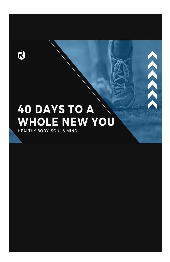

# **40 DAYS TO A WHOLE NEW YOU**

**DAYS** 

*<i><b>B* 

 $\lambda$ 

HEALTHY BODY, SOUL & MIND.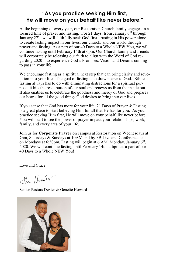#### **"As you practice seeking Him first, He will move on your behalf like never before."**

At the beginning of every year, our Restoration Church family engages in a focused time of prayer and fasting. For 21 days, from January  $6<sup>th</sup>$  through January 27<sup>th</sup>, we will faithfully seek God first, trusting in His power alone to create lasting impact in our lives, our church, and our world through prayer and fasting. As a part of our 40 Days to a Whole NEW You, we will continue fasting until February 14th at 6pm. Our Church family and friends will corporately be releasing our faith to align with the Word of God regarding 2020 – to experience God's Promises, Vision and Dreams coming to pass in your life.

We encourage fasting as a spiritual next step that can bring clarity and revelation into your life. The goal of fasting is to draw nearer to God. Biblical fasting always has to do with eliminating distractions for a spiritual purpose; it hits the reset button of our soul and renews us from the inside out. It also enables us to celebrate the goodness and mercy of God and prepares our hearts for all the good things God desires to bring into our lives.

If you sense that God has more for your life, 21 Days of Prayer & Fasting is a great place to start believing Him for all that He has for you. As you practice seeking Him first, He will move on your behalf like never before. You will start to see the power of prayer impact your relationships, work, family, and every area of your life.

Join us for **Corporate Prayer** on campus at Restoration on Wednesdays at 7pm, Saturdays & Sundays at 10AM and by FB Live and Conference call on Mondays at 6:30pm. Fasting will begin at 6 AM, Monday, January  $6<sup>th</sup>$ , 2020. We will continue fasting until February 14th at 6pm as a part of our 40 Days to a Whole NEW You!

Love and Grace,

The Howards

Senior Pastors Dexter & Genette Howard

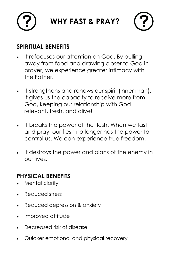



### **SPIRITUAL BENEFITS**

- It refocuses our attention on God. By pulling away from food and drawing closer to God in prayer, we experience greater intimacy with the Father.
- It strengthens and renews our spirit (inner man). It gives us the capacity to receive more from God, keeping our relationship with God relevant, fresh, and alive!
- It breaks the power of the flesh. When we fast and pray, our flesh no longer has the power to control us. We can experience true freedom.
- It destroys the power and plans of the enemy in our lives.

## **PHYSICAL BENEFITS**

- Mental clarity
- Reduced stress
- Reduced depression & anxiety
- Improved attitude
- Decreased risk of disease
- Quicker emotional and physical recovery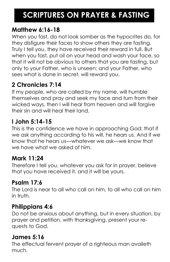## **SCRIPTURES ON PRAYER & FASTING**

### **Matthew 6:16-18**

When you fast, do not look somber as the hypocrites do, for they disfigure their faces to show others they are fasting. Truly I tell you, they have received their reward in full. But when you fast, put oil on your head and wash your face, so that it will not be obvious to others that you are fasting, but only to your Father, who is unseen; and your Father, who sees what is done in secret, will reward you.

### **2 Chronicles 7:14**

If my people, who are called by my name, will humble themselves and pray and seek my face and turn from their wicked ways, then I will hear from heaven and will forgive their sin and will heal their land.

## **I John 5:14-15**

This is the confidence we have in approaching God: that if we ask anything according to his will, he hears us. And if we know that he hears us—whatever we ask—we know that we have what we asked of him.

### **Mark 11:24**

Therefore I tell you, whatever you ask for in prayer, believe that you have received it, and it will be yours.

### **Psalm 17:6**

The Lord is near to all who call on him, to all who call on him in truth.

### **Philippians 4:6**

Do not be anxious about anything, but in every situation, by prayer and petition, with thanksgiving, present your requests to God.

#### **James 5:16**

The effectual fervent prayer of a righteous man availeth much.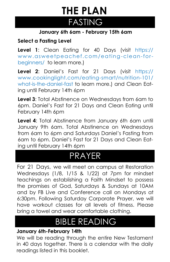## FASTING **THE PLAN**

#### **January 6th 6am - February 15th 6am**

#### **Select a Fasting Level**

**Level 1**: Clean Eating for 40 Days (visit https:// www.asweetpeachef.com/eating-clean-forbeginners/ to learn more.)

**Level 2**: Daniel's Fast for 21 Days (visit https:// www.cookinglight.com/eating-smart/nutrition-101/ what-is-the-daniel-fast to learn more.) and Clean Eating until February 14th 6pm

**Level 3**: Total Abstinence on Wednesdays from 6am to 6pm. Daniel's Fast for 21 Days and Clean Eating until February 14th 6pm

**Level 4**: Total Abstinence from January 6th 6am until January 9th 6am. Total Abstinence on Wednesdays from 6am to 6pm and Saturdays Daniel's Fasting from 6am to 6pm. Daniel's Fast for 21 Days and Clean Eating until February 14th 6pm

## PRAYER

For 21 Days, we will meet on campus at Restoration Wednesdays (1/8, 1/15 & 1/22) at 7pm for mindset teachings on establishing a Faith Mindset to possess the promises of God, Saturdays & Sundays at 10AM and by FB Live and Conference call on Mondays at 6:30pm. Following Saturday Corporate Prayer, we will have workout classes for all levels of fitness. Please bring a towel and wear comfortable clothing.

## BIBLE READING

#### **January 6th-February 14th**

We will be reading through the entire New Testament in 40 days together. There is a calendar with the daily readings listed in this booklet.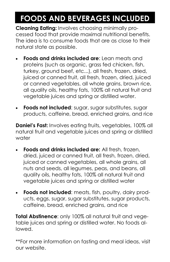## **FOODS AND BEVERAGES INCLUDED**

**Cleaning Eating:** Involves choosing minimally processed food that provide maximal nutritional benefits. The idea is to consume foods that are as close to their natural state as possible.

- **Foods and drinks included are:** Lean meats and proteins (such as organic, grass fed chicken, fish, turkey, ground beef, etc...), all fresh, frozen, dried, juiced or canned fruit, all fresh, frozen, dried, juiced or canned vegetables, all whole grains, brown rice, all quality oils, healthy fats, 100% all natural fruit and vegetable juices and spring or distilled water.
- **Foods not included**: sugar, sugar substitutes, sugar products, caffeine, bread, enriched grains, and rice

**Daniel's Fast:** Involves eating fruits, vegetables, 100% all natural fruit and vegetable juices and spring or distilled water

- **Foods and drinks included are:** All fresh, frozen, dried, juiced or canned fruit, all fresh, frozen, dried, juiced or canned vegetables, all whole grains, all nuts and seeds, all legumes, peas, and beans, all quality oils, healthy fats, 100% all natural fruit and vegetable juices and spring or distilled water
- **Foods not included:** meats, fish, poultry, dairy products, eggs, sugar, sugar substitutes, sugar products, caffeine, bread, enriched grains, and rice

**Total Abstinence**: only 100% all natural fruit and vegetable juices and spring or distilled water. No foods allowed.

\*\*For more information on fasting and meal ideas, visit our website.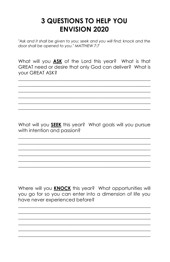## **3 QUESTIONS TO HELP YOU ENVISION 2020**

"Ask and it shall be given to you; seek and you will find; knock and the door shall be opened to you." MATTHEW 7:7

What will you ASK of the Lord this year? What is that GREAT need or desire that only God can deliver? What is vour GREAT ASK?

What will you SEEK this year? What goals will you pursue with intention and passion?

Where will you **KNOCK** this year? What opportunities will you go for so you can enter into a dimension of life you have never experienced before?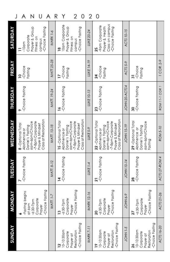| J                       | U<br>Ν<br>A<br>Α                                                                                                                          |                    | $\overline{c}$<br>Y<br>R<br>0                                                                                                            | 2                   | 0                                                                                                                                          |                     |                                                                                       |                       |
|-------------------------|-------------------------------------------------------------------------------------------------------------------------------------------|--------------------|------------------------------------------------------------------------------------------------------------------------------------------|---------------------|--------------------------------------------------------------------------------------------------------------------------------------------|---------------------|---------------------------------------------------------------------------------------|-----------------------|
| <b><i>SATURDAY</i></b>  | Prayer & Group<br>-Choice Fasting<br>Corporate<br>Fitness on<br>campus<br>$-10$ am<br>Ξ                                                   | MARK 1-6           | 10am Corporate<br>Prayer & Group<br>-Choice Fasting<br>Fitness on<br>campus                                                              | LUKE 20-24          | Class on campus<br>-9 am Corporate<br>Prayer & Health<br>Choice Fasting<br>25                                                              | ACTS 10-15          |                                                                                       |                       |
| <b>FRIDAY</b>           | -Choice<br>Fasting<br>$\overline{10}$                                                                                                     | <b>MATT.25-28</b>  | -Choice<br>Fasting<br>17                                                                                                                 | <b>LUKE 14-19</b>   | -Choice<br>Fasting<br>$\overline{24}$                                                                                                      | ACTS 5-9            | -Choice<br>Fasting<br>51                                                              | I COR 2-9             |
| <b><i>L</i>YOSSINHI</b> | -Choice Fasting<br>۰                                                                                                                      | <b>MATT. 19-24</b> | -Choice Fasting<br>$\overline{6}$                                                                                                        | LUKE 10-13          | -Choice Fasting<br>23                                                                                                                      | JOHN 20-ACTS4       | -Choice Fasting<br>30                                                                 | <b>ROM 11-1 COR 1</b> |
| WEDNESDAY               | Class at Restoration<br>-7-8pm Corporate<br>6am-6pm/Choice<br>8 - Optional Total<br>Prayer & Mindset<br>Daniel's Fasting<br>Abstinence or | MATT. 13-18        | Class at Restoration<br>15-Optional Total<br>6am-6pm/Choice<br>-7-8pm Corporate<br>Prayer & Mindset<br>Daniel's Fasting<br>Abstinence or | LUKE 5-9            | Class at Restoration<br>22 - Optional Total<br>6am-6pm/Choice<br>-7-8pm Corporate<br>Prayer & Mindset<br>Daniel's Fasting<br>Abstinence or | <b>JOHN 15-19</b>   | 29 - Optional Total<br>6am-6pm/Choice<br>Daniel's Fasting<br>Abstinence or<br>Fasting | <b>ROM 5-10</b>       |
| <b><i>L</i>NGSSUT</b>   | -Choice Fasting                                                                                                                           | <b>MATT. 8-12</b>  | -Choice Fasting<br>$\overline{1}$                                                                                                        | LUKE <sub>1-4</sub> | -Choice Fasting<br>$\overline{a}$                                                                                                          | JOHN 10-14          | -Choice Fasting                                                                       | ACTS 27-ROM 4         |
| <b>MONDAY</b>           | Choice Fasting<br>-Fasting begins<br>Corporate<br>$-6:30 - 7$ pm<br>at éam<br>Prayer<br>-0                                                | <b>MATT. 1-7</b>   | Choice Fasting<br>Corporate<br>$-6:30 - 7$ pm<br>Prayer<br>$\overline{3}$                                                                | MARK 12-16          | Choice Fasting<br>Corporate<br>$-6:30 - 7$ pm<br>Prayer<br>$\overline{20}$                                                                 | JOHN 6-9            | e Fasting<br>Corporate<br>$-6:30 - 7$ pm<br>Prayer<br>Choic<br>27                     | ACTS 21-26            |
| <b>AV GNNDS</b>         |                                                                                                                                           |                    | -Choice Fasting<br>10-10:30 am<br>Restoration<br>Corporate<br>Prayer at<br>$\overline{2}$                                                | MARK7-11            | -Choice Fasting<br>10-10:30am<br>Restoration<br>Corporate<br>Prayer at                                                                     | JOHN <sub>1-5</sub> | -Choice Fasting<br>10-10:30am<br>Restoration<br>Corporate<br>Prayer at                | ACTS 16-20            |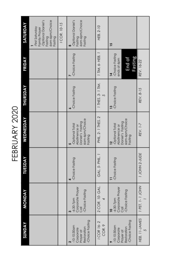FEBRUARY 2020

|                                                                       | <b>MONDAY</b>                                            | <b>TUESDAY</b>  | WEDNESDAY                                                                              | <b>THURSDAY</b>        | FRIDAY                                                                | SATURDAY                                                                                            |
|-----------------------------------------------------------------------|----------------------------------------------------------|-----------------|----------------------------------------------------------------------------------------|------------------------|-----------------------------------------------------------------------|-----------------------------------------------------------------------------------------------------|
|                                                                       |                                                          |                 |                                                                                        |                        |                                                                       | <b>Optional Daniel's</b><br>6am-6pm/Choice<br>First Saturday<br>Family Prayer<br>Fasting<br>Fasting |
|                                                                       |                                                          |                 |                                                                                        |                        |                                                                       | ICOR. 10-15                                                                                         |
|                                                                       | -6:30-7pm<br>Corporate Prayer<br>Call<br>-Choice Fasting | Choice Fasting  | 6am-6pm/Choice<br>Daniel's Fasting<br>-Optional Total<br>Abstinence or<br>Fasting<br>S | -Choice Fasting        | -Choice Fasting                                                       | -Optional Daniel's<br>6am-6pm/Choice<br>Fasting<br>Fasting<br>œ                                     |
| 2 COR. 10- GAL.                                                       |                                                          | GAL. 5- PHIL.   | PHIL. 2- 1 THES. 2                                                                     | 1 THES. 3- 1 TIM.<br>5 | 1 TM, 6-HEB, 1                                                        | HEB. 2-10                                                                                           |
| <b>10</b><br>-6:30-7pm<br>Corporate Prayer<br>Call<br>-Choice Fasting |                                                          | -Choice Fasting | 6am-6pm/Choice<br>Daniel's Fasting<br>-Optional Total<br>Abstinence or<br>Fasting      | -Choice Fasting        | -Choice Fasting<br>Fasting<br>End of<br>ends at 6pm<br>$\overline{1}$ | 15                                                                                                  |
|                                                                       | 1 PET. 1-1 JOHN                                          | 1 JOHN 2-JUDE   | REV. 1-7                                                                               | REV. 8-15              | REV. 16-22                                                            |                                                                                                     |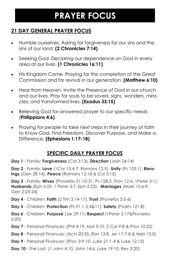## **PRAYER FOCUS**

#### **21 DAY GENERAL PRAYER FOCUS**

- Humble ourselves. Asking for forgiveness for our sins and the sins of our land. **(2 Chronicles 7:14)**
- Seeking God. Declaring our dependence on God in every area of our lives. **(1 Chronicles 16:11)**
- His Kingdom Come. Praying for the completion of the Great Commission and for revival in our generation. **(Matthew 6:10)**
- Hear from Heaven. Invite the Presence of God in our church and our lives. Pray for souls to be saved, signs, wonders, miracles, and transformed lives. **(Exodus 33:15)**
- Believing God for answered prayer to our specific needs (**Philippians 4:6)**
- Praying for people to take next steps in their journey of faith to Know God, Find Freedom, Discover Purpose, and Make a Difference. **(Ephesians 1:17-18)**

#### **SPECIFIC DAILY PRAYER FOCUS**

**Day 1** - Family: **Forgiveness** (Col 3:13), **Direction** (Josh 24:14)

**Day 2** - Family: **Love** (1Cor 13:4-7, Romans 12:9), **Unity** (Ps 133:1), **Blessings** (Gen 28:14), **Peace** (Romans 12:18 & Col 3:15)

**Day 3** - Family: **Wives** (Proverbs 31:10-31, Ps 128:3, Prov 12:4, 1Peter 3:1), **Husbands** (Eph 5:25, 1 Peter 3:7, Eph 5:23), **Marriages** (Mark 10:6-9, Gen 2:23-24)

**Day 4** - Children: **Faith** (2 Tim 3:14-17), **Trust** (Proverbs 3:5-6)

**Day 5** - Children: **Protection** (Ps 91:1-2,4&11), **Safety** (Psalm 121:8)

**Day 6** - Children: **Purpose** (Jer 29:11) **Respect** (1Peter 2:17&Proverbs 6:20)

- **Day 7**  Personal Finances: (Phil 4:19, Mal 3:10, 2 Cor 9:8 & Prov 10:22)
- **Day 8**  Personal Finances: (Acts 20:35, Ron 13:8, Jer 17:7-8 & Heb 13:5)
- **Day 9**  Personal Finances: (Prov 3:9-10, Luke 21:1-4 & Luke 12:15)
- **Day 10**  The Lost: (1 John 4:10, John 14:6, Luke 19:10, Rev 3:20)